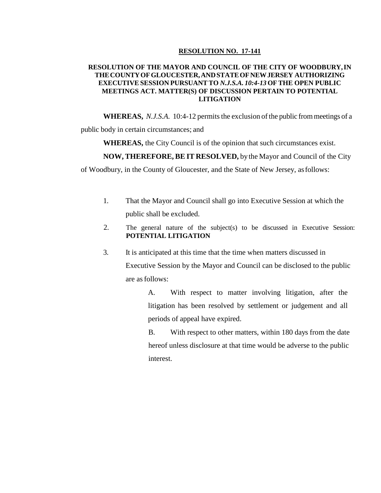## **RESOLUTION NO. 17-141**

## **RESOLUTION OF THE MAYOR AND COUNCIL OF THE CITY OF WOODBURY,IN THECOUNTYOFGLOUCESTER,ANDSTATEOFNEWJERSEY AUTHORIZING EXECUTIVE SESSION PURSUANT TO** *N.J.S.A. 10:4-13* **OF THE OPEN PUBLIC MEETINGS ACT. MATTER(S) OF DISCUSSION PERTAIN TO POTENTIAL LITIGATION**

**WHEREAS,** *N.J.S.A.* 10:4-12 permits the exclusion of the public from meetings of a

public body in certain circumstances; and

**WHEREAS,** the City Council is of the opinion that such circumstances exist.

**NOW, THEREFORE, BE IT RESOLVED,** bythe Mayor and Council of the City

of Woodbury, in the County of Gloucester, and the State of New Jersey, asfollows:

- 1. That the Mayor and Council shall go into Executive Session at which the public shall be excluded.
- 2. The general nature of the subject(s) to be discussed in Executive Session: **POTENTIAL LITIGATION**
- 3. It is anticipated at this time that the time when matters discussed in Executive Session by the Mayor and Council can be disclosed to the public are asfollows:

A. With respect to matter involving litigation, after the litigation has been resolved by settlement or judgement and all periods of appeal have expired.

B. With respect to other matters, within 180 days from the date hereof unless disclosure at that time would be adverse to the public interest.